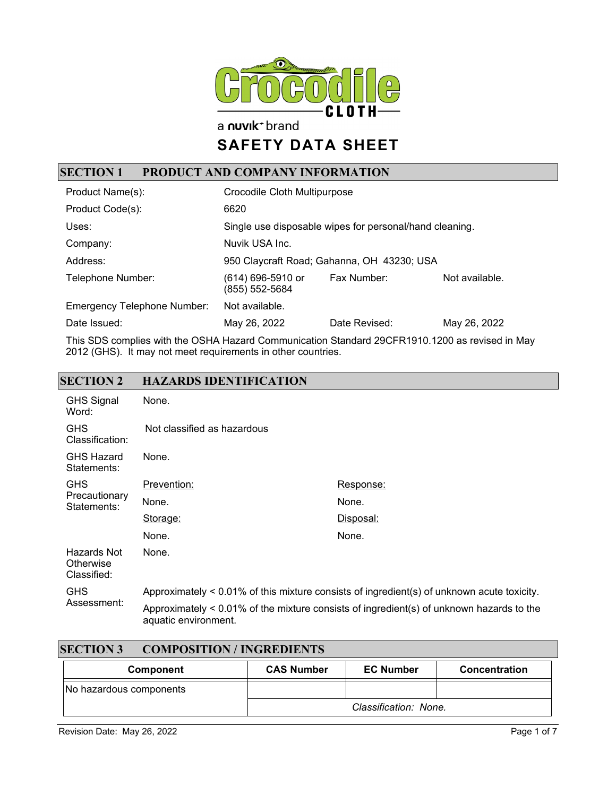

a nuvik<sup>+</sup> brand

# **SAFETY DATA SHEET**

### **SECTION 1 PRODUCT AND COMPANY INFORMATION**

| Product Name(s):                   | Crocodile Cloth Multipurpose                            |               |                |
|------------------------------------|---------------------------------------------------------|---------------|----------------|
| Product Code(s):                   | 6620                                                    |               |                |
| Uses:                              | Single use disposable wipes for personal/hand cleaning. |               |                |
| Company:                           | Nuvik USA Inc.                                          |               |                |
| Address:                           | 950 Claycraft Road; Gahanna, OH 43230; USA              |               |                |
| Telephone Number:                  | (614) 696-5910 or<br>(855) 552-5684                     | Fax Number:   | Not available. |
| <b>Emergency Telephone Number:</b> | Not available.                                          |               |                |
| Date Issued:                       | May 26, 2022                                            | Date Revised: | May 26, 2022   |

This SDS complies with the OSHA Hazard Communication Standard 29CFR1910.1200 as revised in May 2012 (GHS). It may not meet requirements in other countries.

#### **SECTION 2 HAZARDS IDENTIFICATION**

| <b>GHS Signal</b><br>Word:              | None.                                                                                      |                                                                                          |
|-----------------------------------------|--------------------------------------------------------------------------------------------|------------------------------------------------------------------------------------------|
| <b>GHS</b><br>Classification:           | Not classified as hazardous                                                                |                                                                                          |
| <b>GHS Hazard</b><br>Statements:        | None.                                                                                      |                                                                                          |
| <b>GHS</b>                              | Prevention:                                                                                | Response:                                                                                |
| Precautionary<br>Statements:            | None.                                                                                      | None.                                                                                    |
|                                         | Storage:                                                                                   | Disposal:                                                                                |
|                                         | None.                                                                                      | None.                                                                                    |
| Hazards Not<br>Otherwise<br>Classified: | None.                                                                                      |                                                                                          |
| <b>GHS</b>                              | Approximately < 0.01% of this mixture consists of ingredient(s) of unknown acute toxicity. |                                                                                          |
| Assessment:                             | aquatic environment.                                                                       | Approximately < 0.01% of the mixture consists of ingredient(s) of unknown hazards to the |

| <b>SECTION 3</b><br><b>COMPOSITION / INGREDIENTS</b> |                   |                       |               |
|------------------------------------------------------|-------------------|-----------------------|---------------|
| Component                                            | <b>CAS Number</b> | <b>EC Number</b>      | Concentration |
| No hazardous components                              |                   |                       |               |
|                                                      |                   | Classification: None. |               |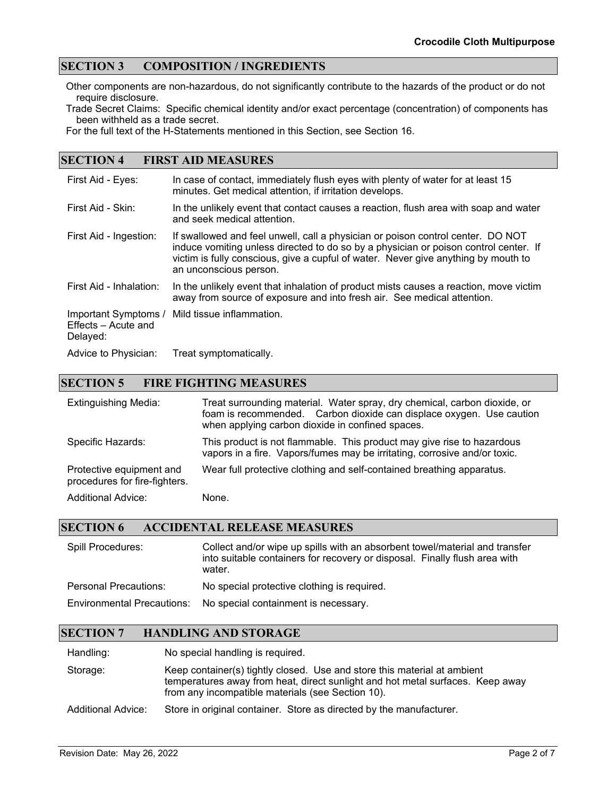#### **SECTION 3 COMPOSITION / INGREDIENTS**

Other components are non-hazardous, do not significantly contribute to the hazards of the product or do not require disclosure.

Trade Secret Claims: Specific chemical identity and/or exact percentage (concentration) of components has been withheld as a trade secret.

For the full text of the H-Statements mentioned in this Section, see Section 16.

#### **SECTION 4 FIRST AID MEASURES**

| First Aid - Eyes:                                       | In case of contact, immediately flush eyes with plenty of water for at least 15<br>minutes. Get medical attention, if irritation develops.                                                                                                                                              |
|---------------------------------------------------------|-----------------------------------------------------------------------------------------------------------------------------------------------------------------------------------------------------------------------------------------------------------------------------------------|
| First Aid - Skin:                                       | In the unlikely event that contact causes a reaction, flush area with soap and water<br>and seek medical attention.                                                                                                                                                                     |
| First Aid - Ingestion:                                  | If swallowed and feel unwell, call a physician or poison control center. DO NOT<br>induce vomiting unless directed to do so by a physician or poison control center. If<br>victim is fully conscious, give a cupful of water. Never give anything by mouth to<br>an unconscious person. |
| First Aid - Inhalation:                                 | In the unlikely event that inhalation of product mists causes a reaction, move victim<br>away from source of exposure and into fresh air. See medical attention.                                                                                                                        |
| Important Symptoms /<br>Effects – Acute and<br>Delayed: | Mild tissue inflammation.                                                                                                                                                                                                                                                               |
| Advice to Physician:                                    | Treat symptomatically.                                                                                                                                                                                                                                                                  |

#### **SECTION 5 FIRE FIGHTING MEASURES**

| <b>Extinguishing Media:</b>                               | Treat surrounding material. Water spray, dry chemical, carbon dioxide, or<br>foam is recommended. Carbon dioxide can displace oxygen. Use caution<br>when applying carbon dioxide in confined spaces. |
|-----------------------------------------------------------|-------------------------------------------------------------------------------------------------------------------------------------------------------------------------------------------------------|
| Specific Hazards:                                         | This product is not flammable. This product may give rise to hazardous<br>vapors in a fire. Vapors/fumes may be irritating, corrosive and/or toxic.                                                   |
| Protective equipment and<br>procedures for fire-fighters. | Wear full protective clothing and self-contained breathing apparatus.                                                                                                                                 |
| <b>Additional Advice:</b>                                 | None.                                                                                                                                                                                                 |

#### **SECTION 6 ACCIDENTAL RELEASE MEASURES**

| Spill Procedures:                 | Collect and/or wipe up spills with an absorbent towel/material and transfer<br>into suitable containers for recovery or disposal. Finally flush area with<br>water. |
|-----------------------------------|---------------------------------------------------------------------------------------------------------------------------------------------------------------------|
| <b>Personal Precautions:</b>      | No special protective clothing is required.                                                                                                                         |
| <b>Environmental Precautions:</b> | No special containment is necessary.                                                                                                                                |

#### **SECTION 7 HANDLING AND STORAGE**

Handling: No special handling is required.

Storage: Keep container(s) tightly closed. Use and store this material at ambient temperatures away from heat, direct sunlight and hot metal surfaces. Keep away from any incompatible materials (see Section 10).

Additional Advice: Store in original container. Store as directed by the manufacturer.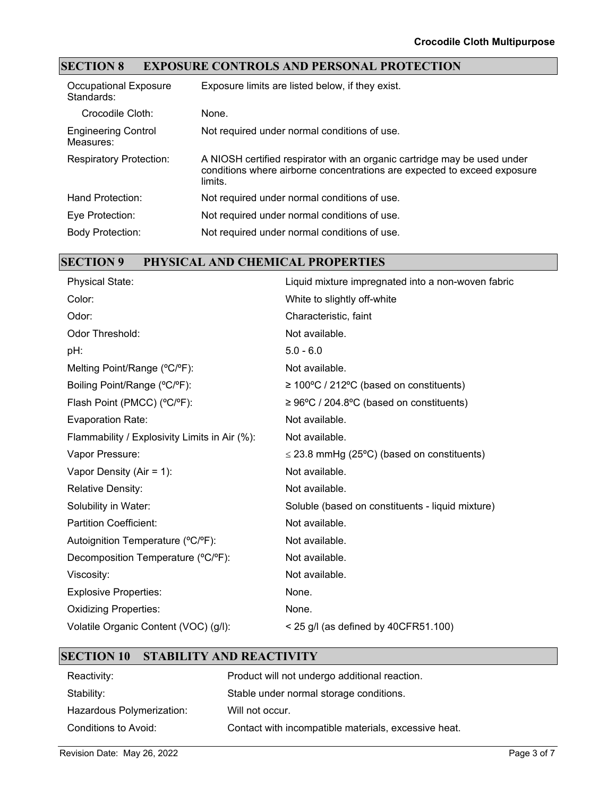### **SECTION 8 EXPOSURE CONTROLS AND PERSONAL PROTECTION**

| <b>Occupational Exposure</b><br>Standards: | Exposure limits are listed below, if they exist.                                                                                                                |
|--------------------------------------------|-----------------------------------------------------------------------------------------------------------------------------------------------------------------|
| Crocodile Cloth:                           | None.                                                                                                                                                           |
| <b>Engineering Control</b><br>Measures:    | Not required under normal conditions of use.                                                                                                                    |
| <b>Respiratory Protection:</b>             | A NIOSH certified respirator with an organic cartridge may be used under<br>conditions where airborne concentrations are expected to exceed exposure<br>limits. |
| Hand Protection:                           | Not required under normal conditions of use.                                                                                                                    |
| Eye Protection:                            | Not required under normal conditions of use.                                                                                                                    |
| <b>Body Protection:</b>                    | Not required under normal conditions of use.                                                                                                                    |

## **SECTION 9 PHYSICAL AND CHEMICAL PROPERTIES**

| <b>Physical State:</b>                        | Liquid mixture impregnated into a non-woven fabric    |
|-----------------------------------------------|-------------------------------------------------------|
| Color:                                        | White to slightly off-white                           |
| Odor:                                         | Characteristic, faint                                 |
| Odor Threshold:                               | Not available.                                        |
| pH:                                           | $5.0 - 6.0$                                           |
| Melting Point/Range (°C/°F):                  | Not available.                                        |
| Boiling Point/Range (°C/°F):                  | $\geq 100^{\circ}$ C / 212°C (based on constituents)  |
| Flash Point (PMCC) (°C/°F):                   | $\geq 96^{\circ}$ C / 204.8°C (based on constituents) |
| <b>Evaporation Rate:</b>                      | Not available.                                        |
| Flammability / Explosivity Limits in Air (%): | Not available.                                        |
| Vapor Pressure:                               | $\leq$ 23.8 mmHg (25°C) (based on constituents)       |
| Vapor Density (Air = $1$ ):                   | Not available.                                        |
| <b>Relative Density:</b>                      | Not available.                                        |
| Solubility in Water:                          | Soluble (based on constituents - liquid mixture)      |
| <b>Partition Coefficient:</b>                 | Not available.                                        |
| Autoignition Temperature (°C/°F):             | Not available.                                        |
| Decomposition Temperature (°C/°F):            | Not available.                                        |
| Viscosity:                                    | Not available.                                        |
| <b>Explosive Properties:</b>                  | None.                                                 |
| <b>Oxidizing Properties:</b>                  | None.                                                 |
| Volatile Organic Content (VOC) (g/l):         | $<$ 25 g/l (as defined by 40CFR51.100)                |
|                                               |                                                       |

#### **SECTION 10 STABILITY AND REACTIVITY**

| Reactivity:               | Product will not undergo additional reaction.        |
|---------------------------|------------------------------------------------------|
| Stability:                | Stable under normal storage conditions.              |
| Hazardous Polymerization: | Will not occur.                                      |
| Conditions to Avoid:      | Contact with incompatible materials, excessive heat. |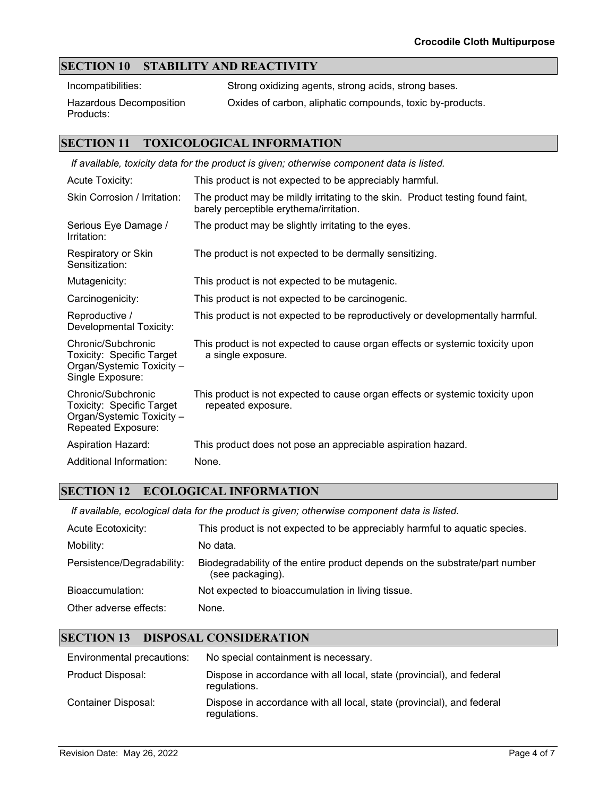#### **SECTION 10 STABILITY AND REACTIVITY**

Incompatibilities: Strong oxidizing agents, strong acids, strong bases.

Hazardous Decomposition Products:

Oxides of carbon, aliphatic compounds, toxic by-products.

#### **SECTION 11 TOXICOLOGICAL INFORMATION**

| If available, toxicity data for the product is given; otherwise component data is listed.               |                                                                                                                           |  |
|---------------------------------------------------------------------------------------------------------|---------------------------------------------------------------------------------------------------------------------------|--|
| <b>Acute Toxicity:</b>                                                                                  | This product is not expected to be appreciably harmful.                                                                   |  |
| Skin Corrosion / Irritation:                                                                            | The product may be mildly irritating to the skin. Product testing found faint,<br>barely perceptible erythema/irritation. |  |
| Serious Eye Damage /<br>Irritation:                                                                     | The product may be slightly irritating to the eyes.                                                                       |  |
| Respiratory or Skin<br>Sensitization:                                                                   | The product is not expected to be dermally sensitizing.                                                                   |  |
| Mutagenicity:                                                                                           | This product is not expected to be mutagenic.                                                                             |  |
| Carcinogenicity:                                                                                        | This product is not expected to be carcinogenic.                                                                          |  |
| Reproductive /<br>Developmental Toxicity:                                                               | This product is not expected to be reproductively or developmentally harmful.                                             |  |
| Chronic/Subchronic<br><b>Toxicity: Specific Target</b><br>Organ/Systemic Toxicity -<br>Single Exposure: | This product is not expected to cause organ effects or systemic toxicity upon<br>a single exposure.                       |  |
| Chronic/Subchronic<br>Toxicity: Specific Target<br>Organ/Systemic Toxicity -<br>Repeated Exposure:      | This product is not expected to cause organ effects or systemic toxicity upon<br>repeated exposure.                       |  |
| <b>Aspiration Hazard:</b>                                                                               | This product does not pose an appreciable aspiration hazard.                                                              |  |
| Additional Information:                                                                                 | None.                                                                                                                     |  |

#### **SECTION 12 ECOLOGICAL INFORMATION**

*If available, ecological data for the product is given; otherwise component data is listed.*

| <b>Acute Ecotoxicity:</b>  | This product is not expected to be appreciably harmful to aquatic species.                      |
|----------------------------|-------------------------------------------------------------------------------------------------|
| Mobility:                  | No data.                                                                                        |
| Persistence/Degradability: | Biodegradability of the entire product depends on the substrate/part number<br>(see packaging). |
| Bioaccumulation:           | Not expected to bioaccumulation in living tissue.                                               |
| Other adverse effects:     | None.                                                                                           |

#### **SECTION 13 DISPOSAL CONSIDERATION**

| Environmental precautions: | No special containment is necessary.                                                  |
|----------------------------|---------------------------------------------------------------------------------------|
| Product Disposal:          | Dispose in accordance with all local, state (provincial), and federal<br>regulations. |
| Container Disposal:        | Dispose in accordance with all local, state (provincial), and federal<br>regulations. |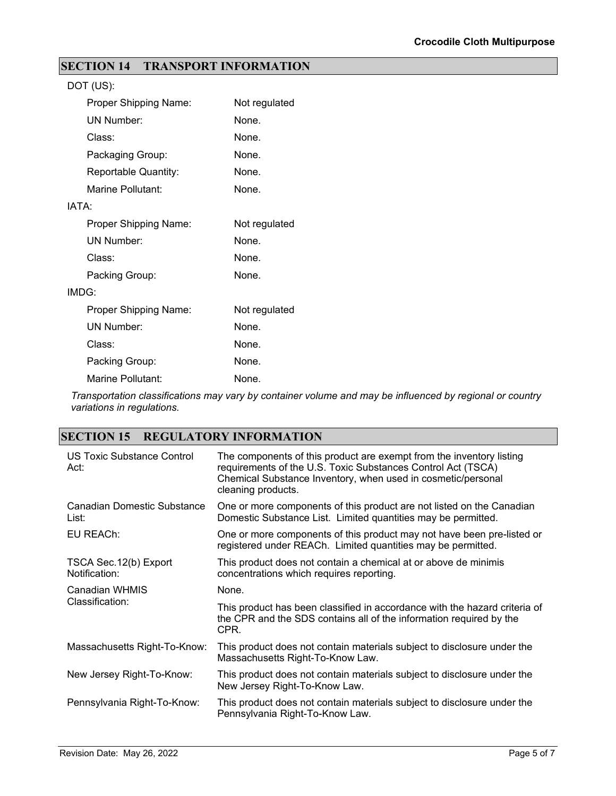### **SECTION 14 TRANSPORT INFORMATION**

| DOT (US):             |               |
|-----------------------|---------------|
| Proper Shipping Name: | Not regulated |
| <b>UN Number:</b>     | None.         |
| Class:                | None.         |
| Packaging Group:      | None.         |
| Reportable Quantity:  | None.         |
| Marine Pollutant:     | None.         |
| IATA:                 |               |
| Proper Shipping Name: | Not regulated |
| <b>UN Number:</b>     | None.         |
| Class:                | None.         |
| Packing Group:        | None.         |
| IMDG:                 |               |
| Proper Shipping Name: | Not regulated |
| <b>UN Number:</b>     | None.         |
| Class:                | None.         |
| Packing Group:        | None.         |
| Marine Pollutant:     | None.         |

*Transportation classifications may vary by container volume and may be influenced by regional or country variations in regulations.*

#### **SECTION 15 REGULATORY INFORMATION**

| US Toxic Substance Control<br>Act:      | The components of this product are exempt from the inventory listing<br>requirements of the U.S. Toxic Substances Control Act (TSCA)<br>Chemical Substance Inventory, when used in cosmetic/personal<br>cleaning products. |
|-----------------------------------------|----------------------------------------------------------------------------------------------------------------------------------------------------------------------------------------------------------------------------|
| Canadian Domestic Substance<br>List:    | One or more components of this product are not listed on the Canadian<br>Domestic Substance List. Limited quantities may be permitted.                                                                                     |
| EU REACh:                               | One or more components of this product may not have been pre-listed or<br>registered under REACh. Limited quantities may be permitted.                                                                                     |
| TSCA Sec. 12(b) Export<br>Notification: | This product does not contain a chemical at or above de minimis<br>concentrations which requires reporting.                                                                                                                |
| Canadian WHMIS                          | None.                                                                                                                                                                                                                      |
| Classification:                         | This product has been classified in accordance with the hazard criteria of<br>the CPR and the SDS contains all of the information required by the<br>CPR.                                                                  |
| Massachusetts Right-To-Know:            | This product does not contain materials subject to disclosure under the<br>Massachusetts Right-To-Know Law.                                                                                                                |
| New Jersey Right-To-Know:               | This product does not contain materials subject to disclosure under the<br>New Jersey Right-To-Know Law.                                                                                                                   |
| Pennsylvania Right-To-Know:             | This product does not contain materials subject to disclosure under the<br>Pennsylvania Right-To-Know Law.                                                                                                                 |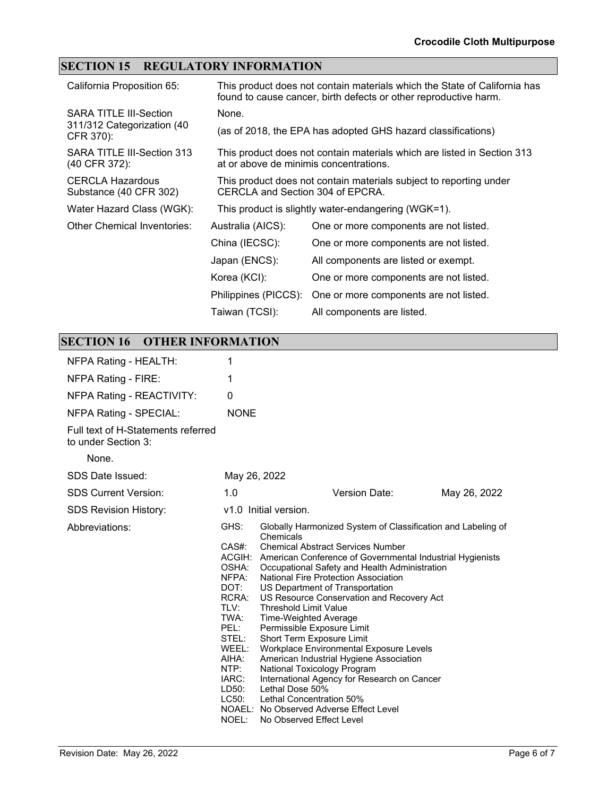## **SECTION 15 REGULATORY INFORMATION**

| California Proposition 65:                        |                                                                                                        | This product does not contain materials which the State of California has<br>found to cause cancer, birth defects or other reproductive harm. |
|---------------------------------------------------|--------------------------------------------------------------------------------------------------------|-----------------------------------------------------------------------------------------------------------------------------------------------|
| <b>SARA TITLE III-Section</b>                     | None.                                                                                                  |                                                                                                                                               |
| 311/312 Categorization (40<br>CFR 370):           |                                                                                                        | (as of 2018, the EPA has adopted GHS hazard classifications)                                                                                  |
| SARA TITLE III-Section 313<br>(40 CFR 372):       | at or above de minimis concentrations.                                                                 | This product does not contain materials which are listed in Section 313                                                                       |
| <b>CERCLA Hazardous</b><br>Substance (40 CFR 302) | This product does not contain materials subject to reporting under<br>CERCLA and Section 304 of EPCRA. |                                                                                                                                               |
| Water Hazard Class (WGK):                         |                                                                                                        | This product is slightly water-endangering (WGK=1).                                                                                           |
| Other Chemical Inventories:                       | Australia (AICS):                                                                                      | One or more components are not listed.                                                                                                        |
|                                                   | China (IECSC):                                                                                         | One or more components are not listed.                                                                                                        |
|                                                   | Japan (ENCS):                                                                                          | All components are listed or exempt.                                                                                                          |
|                                                   | Korea (KCI):                                                                                           | One or more components are not listed.                                                                                                        |
|                                                   | Philippines (PICCS):                                                                                   | One or more components are not listed.                                                                                                        |
|                                                   | Taiwan (TCSI):                                                                                         | All components are listed.                                                                                                                    |

# **SECTION 16 OTHER INFORMATION**

| NFPA Rating - HEALTH:                                     | 1                                                                                                                                                  |                                                                                                                                                                                                                                                                                                                                                                                                                                                                                                                                                                                                                                                                                                                                                                                  |              |  |
|-----------------------------------------------------------|----------------------------------------------------------------------------------------------------------------------------------------------------|----------------------------------------------------------------------------------------------------------------------------------------------------------------------------------------------------------------------------------------------------------------------------------------------------------------------------------------------------------------------------------------------------------------------------------------------------------------------------------------------------------------------------------------------------------------------------------------------------------------------------------------------------------------------------------------------------------------------------------------------------------------------------------|--------------|--|
| NFPA Rating - FIRE:                                       | 1                                                                                                                                                  |                                                                                                                                                                                                                                                                                                                                                                                                                                                                                                                                                                                                                                                                                                                                                                                  |              |  |
| NFPA Rating - REACTIVITY:                                 | 0                                                                                                                                                  |                                                                                                                                                                                                                                                                                                                                                                                                                                                                                                                                                                                                                                                                                                                                                                                  |              |  |
| <b>NFPA Rating - SPECIAL:</b>                             | <b>NONE</b>                                                                                                                                        |                                                                                                                                                                                                                                                                                                                                                                                                                                                                                                                                                                                                                                                                                                                                                                                  |              |  |
| Full text of H-Statements referred<br>to under Section 3: |                                                                                                                                                    |                                                                                                                                                                                                                                                                                                                                                                                                                                                                                                                                                                                                                                                                                                                                                                                  |              |  |
| None.                                                     |                                                                                                                                                    |                                                                                                                                                                                                                                                                                                                                                                                                                                                                                                                                                                                                                                                                                                                                                                                  |              |  |
| SDS Date Issued:                                          | May 26, 2022                                                                                                                                       |                                                                                                                                                                                                                                                                                                                                                                                                                                                                                                                                                                                                                                                                                                                                                                                  |              |  |
| <b>SDS Current Version:</b>                               | 1.0                                                                                                                                                | Version Date:                                                                                                                                                                                                                                                                                                                                                                                                                                                                                                                                                                                                                                                                                                                                                                    | May 26, 2022 |  |
| <b>SDS Revision History:</b>                              | v1.0 Initial version.                                                                                                                              |                                                                                                                                                                                                                                                                                                                                                                                                                                                                                                                                                                                                                                                                                                                                                                                  |              |  |
| Abbreviations:                                            | GHS:<br>$CAS#$ :<br>OSHA:<br>NFPA:<br>DOT:<br>RCRA:<br>TLV:<br>TWA:<br>PEL:<br>STEL:<br>WEEL:<br>AIHA:<br>NTP:<br>IARC:<br>LD50:<br>LC50:<br>NOEL: | Globally Harmonized System of Classification and Labeling of<br>Chemicals<br><b>Chemical Abstract Services Number</b><br>ACGIH: American Conference of Governmental Industrial Hygienists<br>Occupational Safety and Health Administration<br>National Fire Protection Association<br>US Department of Transportation<br>US Resource Conservation and Recovery Act<br><b>Threshold Limit Value</b><br>Time-Weighted Average<br>Permissible Exposure Limit<br>Short Term Exposure Limit<br>Workplace Environmental Exposure Levels<br>American Industrial Hygiene Association<br>National Toxicology Program<br>International Agency for Research on Cancer<br>Lethal Dose 50%<br>Lethal Concentration 50%<br>NOAEL: No Observed Adverse Effect Level<br>No Observed Effect Level |              |  |